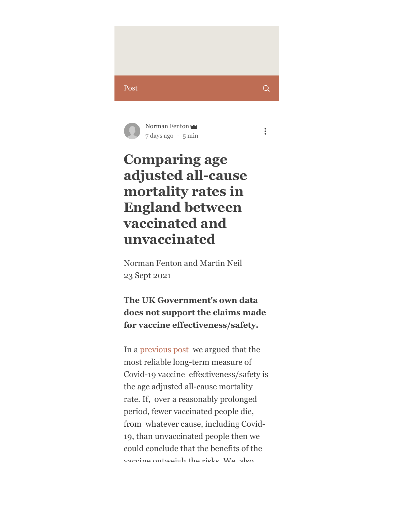## Post



**Comparing age adjusted all-cause mortality rates in England between vaccinated and unvaccinated**

Norman Fenton and Martin Neil 23 Sept 2021

**The UK Government's own data does not support the claims made for vaccine effectiveness/safety.** 

In a previous post we argued that the most reliable long-term measure of Covid-19 vaccine effectiveness/safety is the age adjusted all-cause mortality rate. If, over a reasonably prolonged period, fewer vaccinated people die, from whatever cause, including Covid-19, than unvaccinated people then we could conclude that the benefits of the vaccine outweigh the ricks. We also

 $\alpha$ 

 $\ddot{\cdot}$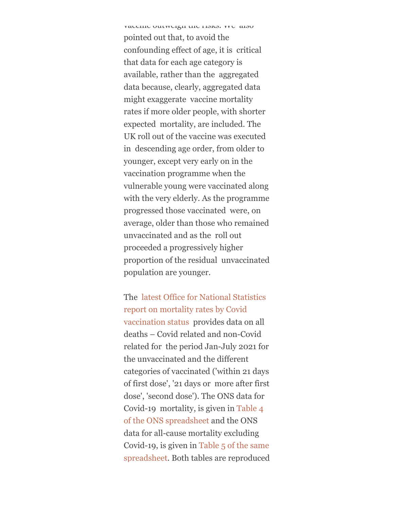vaccine outweight the risks. We also pointed out that, to avoid the confounding effect of age, it is critical that data for each age category is available, rather than the aggregated data because, clearly, aggregated data might exaggerate vaccine mortality rates if more older people, with shorter expected mortality, are included. The UK roll out of the vaccine was executed in descending age order, from older to younger, except very early on in the vaccination programme when the vulnerable young were vaccinated along with the very elderly. As the programme progressed those vaccinated were, on average, older than those who remained unvaccinated and as the roll out proceeded a progressively higher proportion of the residual unvaccinated population are younger.

The latest Office for National Statistics report on mortality rates by Covid vaccination status provides data on all deaths – Covid related and non-Covid related for the period Jan-July 2021 for the unvaccinated and the different categories of vaccinated ('within 21 days of first dose', '21 days or more after first dose', 'second dose'). The ONS data for Covid-19 mortality, is given in Table 4 of the ONS spreadsheet and the ONS data for all-cause mortality excluding Covid-19, is given in Table 5 of the same spreadsheet. Both tables are reproduced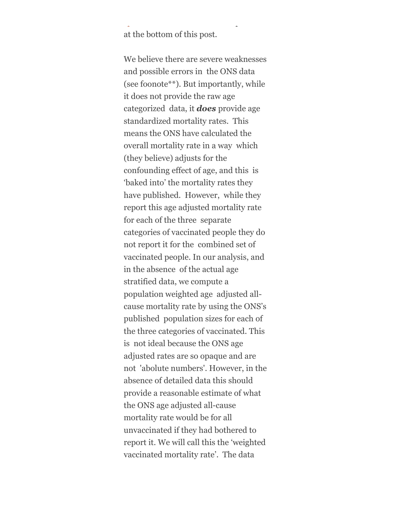at the bottom of this post.

spreadsheet. Both tables are reproduced

We believe there are severe weaknesses and possible errors in the ONS data (see foonote\*\*). But importantly, while it does not provide the raw age categorized data, it *does* provide age standardized mortality rates. This means the ONS have calculated the overall mortality rate in a way which (they believe) adjusts for the confounding effect of age, and this is 'baked into' the mortality rates they have published. However, while they report this age adjusted mortality rate for each of the three separate categories of vaccinated people they do not report it for the combined set of vaccinated people. In our analysis, and in the absence of the actual age stratified data, we compute a population weighted age adjusted allcause mortality rate by using the ONS's published population sizes for each of the three categories of vaccinated. This is not ideal because the ONS age adjusted rates are so opaque and are not 'abolute numbers'. However, in the absence of detailed data this should provide a reasonable estimate of what the ONS age adjusted all-cause mortality rate would be for all unvaccinated if they had bothered to report it. We will call this the 'weighted vaccinated mortality rate'. The data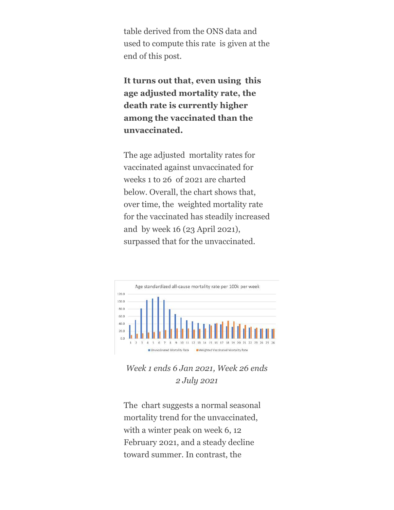table derived from the ONS data and used to compute this rate is given at the end of this post.

**It turns out that, even using this age adjusted mortality rate, the death rate is currently higher among the vaccinated than the unvaccinated.**

The age adjusted mortality rates for vaccinated against unvaccinated for weeks 1 to 26 of 2021 are charted below. Overall, the chart shows that, over time, the weighted mortality rate for the vaccinated has steadily increased and by week 16 (23 April 2021), surpassed that for the unvaccinated.



*Week 1 ends 6 Jan 2021, Week 26 ends 2 July 2021*

The chart suggests a normal seasonal mortality trend for the unvaccinated, with a winter peak on week 6, 12 February 2021, and a steady decline toward summer. In contrast, the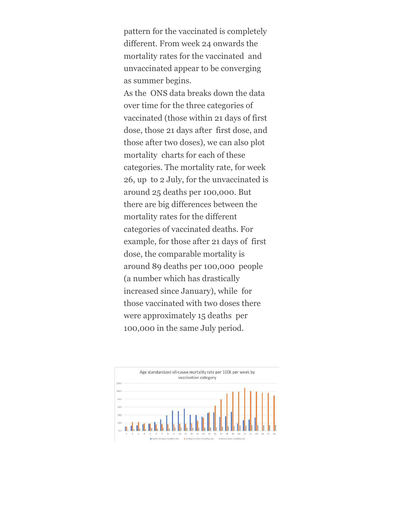pattern for the vaccinated is completely different. From week 24 onwards the mortality rates for the vaccinated and unvaccinated appear to be converging as summer begins.

As the ONS data breaks down the data over time for the three categories of vaccinated (those within 21 days of first dose, those 21 days after first dose, and those after two doses), we can also plot mortality charts for each of these categories. The mortality rate, for week 26, up to 2 July, for the unvaccinated is around 25 deaths per 100,000. But there are big differences between the mortality rates for the different categories of vaccinated deaths. For example, for those after 21 days of first dose, the comparable mortality is around 89 deaths per 100,000 people (a number which has drastically increased since January), while for those vaccinated with two doses there were approximately 15 deaths per 100,000 in the same July period.

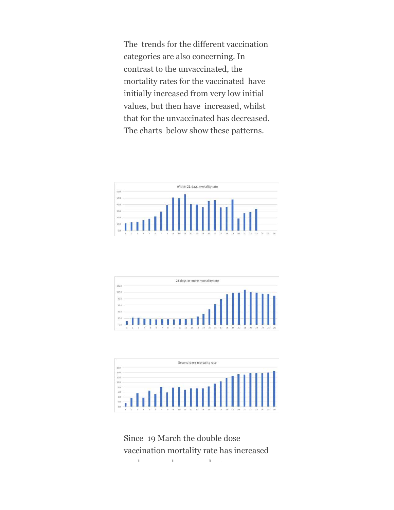The trends for the different vaccination categories are also concerning. In contrast to the unvaccinated, the mortality rates for the vaccinated have initially increased from very low initial values, but then have increased, whilst that for the unvaccinated has decreased. The charts below show these patterns.







Since 19 March the double dose vaccination mortality rate has increased week-on-week more or less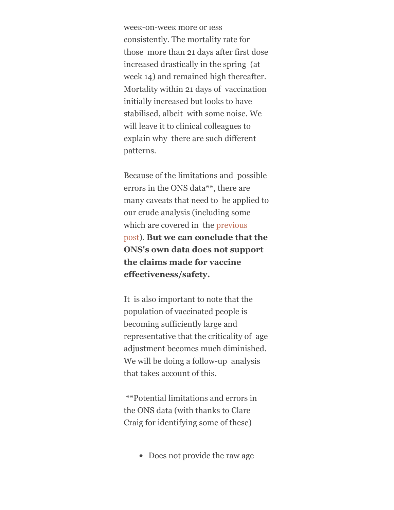week-on-week more or less consistently. The mortality rate for those more than 21 days after first dose increased drastically in the spring (at week 14) and remained high thereafter. Mortality within 21 days of vaccination initially increased but looks to have stabilised, albeit with some noise. We will leave it to clinical colleagues to explain why there are such different patterns.

Because of the limitations and possible errors in the ONS data\*\*, there are many caveats that need to be applied to our crude analysis (including some which are covered in the previous post). **But we can conclude that the ONS's own data does not support the claims made for vaccine effectiveness/safety.** 

It is also important to note that the population of vaccinated people is becoming sufficiently large and representative that the criticality of age adjustment becomes much diminished. We will be doing a follow-up analysis that takes account of this.

 \*\*Potential limitations and errors in the ONS data (with thanks to Clare Craig for identifying some of these)

• Does not provide the raw age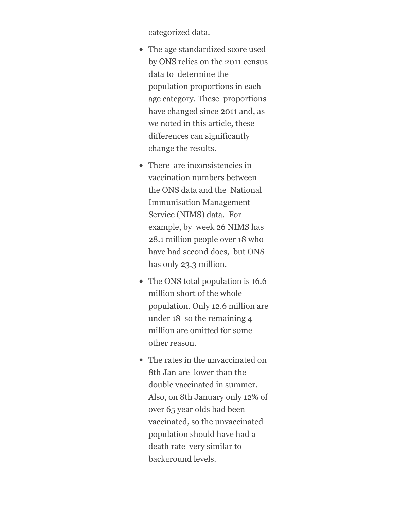categorized data.

- The age standardized score used by ONS relies on the 2011 census data to determine the population proportions in each age category. These proportions have changed since 2011 and, as we noted in this article, these differences can significantly change the results.
- There are inconsistencies in vaccination numbers between the ONS data and the National Immunisation Management Service (NIMS) data. For example, by week 26 NIMS has 28.1 million people over 18 who have had second does, but ONS has only 23.3 million.
- The ONS total population is 16.6 million short of the whole population. Only 12.6 million are under 18 so the remaining 4 million are omitted for some other reason.
- The rates in the unvaccinated on 8th Jan are lower than the double vaccinated in summer. Also, on 8th January only 12% of over 65 year olds had been vaccinated, so the unvaccinated population should have had a death rate very similar to background levels.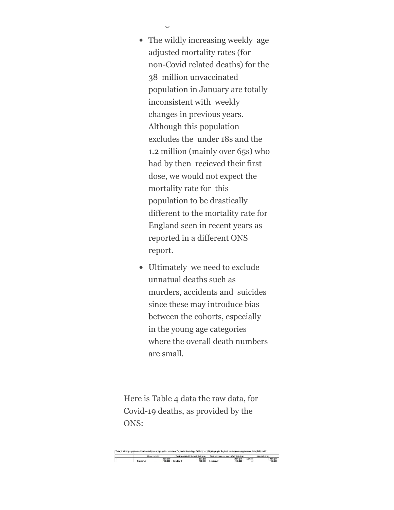• The wildly increasing weekly age adjusted mortality rates (for non-Covid related deaths) for the 38 million unvaccinated population in January are totally inconsistent with weekly changes in previous years. Although this population excludes the under 18s and the 1.2 million (mainly over 65s) who had by then recieved their first dose, we would not expect the mortality rate for this population to be drastically different to the mortality rate for England seen in recent years as reported in a different ONS report.

background levels.

Ultimately we need to exclude unnatual deaths such as murders, accidents and suicides since these may introduce bias between the cohorts, especially in the young age categories where the overall death numbers are small.

Here is Table 4 data the raw data, for Covid-19 deaths, as provided by the ONS: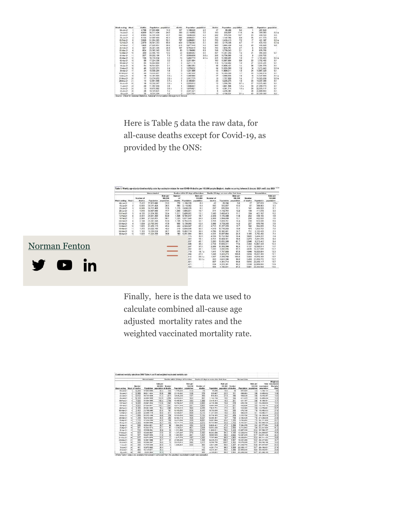| Weekending Week   |    | deaths | Population penulation |      | deaths |           | Population population | deaths         | Population   | proclation | draths | Prostation proviation |       |
|-------------------|----|--------|-----------------------|------|--------|-----------|-----------------------|----------------|--------------|------------|--------|-----------------------|-------|
| 08-146-21         |    | 4,788  | 37.803.666            | 14.3 | 157    | 1,199,228 | 25                    | 37             | 89,296       | 52         |        | 267.629               |       |
| 15-146-21         |    | 6.059  | 38.515.424            | 24.0 | 509    | 2.110.052 | 33                    | 189            | 335 607      | 114        | 14     | 399.963               | 0.5u  |
| $22 - 386 - 21$   |    | 6.563  | 34.737.408            | 43.7 | 600    | 3 838 226 | 44                    | 262            | 570,533      | 10.7       | 25     | 408,528               | os.   |
| 29-Jan-21         |    | 5,164  | 32.897.999            | 56.2 | 985    | 4.835.633 | 5.5                   | 340            | 1,142,784    | 惑發         | 25     | 411,079               | 0.5   |
| 05-Feb-21         |    | 3,520  | 31.004.185            | 53.1 | 797    | 5,499,801 | 53                    | 750            | 2,418,413    | 7.2        | ïř     | 421.167               | 0.5u  |
| $12 - F + 8 - 21$ |    | 2.419  | 28.941.393            | 488  | 439    | 5,794,547 | 53                    | B3D            | 4.170.308    | 47         |        | 435.150               | 0.3u  |
| 19-Feb-21         |    | .625   | 27.025.851            | 38.0 | 216    | 5,877,448 | 43                    | 965            | 5.954.438    | 4.2        | 25     | 452,826               | 0.5   |
| 26-Fab-21         |    | 997    | 26 261 345            | 25.5 | 157    | 5.753.015 | 56                    | yso            | 7,815,751    | źź         |        | \$10,015              |       |
| 05.Mar.21         |    | 654    | 23,795,540            | 18.8 | \$3    | 5.159.090 | 69                    | 549            | 8 709 045    | 21         |        | 676.798               |       |
| 12-Mar-21         |    | 389    | 22.496.119            | 10万  | 33     | 4.544.547 | 45                    | 452            | 11.357.055   | 15         |        | 944, 609              | 0.7   |
| 19-Mar-21         |    | 237    | 20 222 106            | 73   | 17     | 5.050 636 | 36 u                  | 335            | 12.736.283   | $12^{1}$   | ă      | 1.333.720             |       |
| 28-Mar-21         | 12 | 166    | 18.316.034            | 53   | 15     | 5,482.719 | 45 u                  | 251            | 13.350.491   | $+0$       | 17     | 2.183.425             | 0.2 u |
| 02-Apr-21         | 13 | 20     | 17.224.336            | 32   | n      | 5.231.004 |                       | 160            | 13,057,084   | 0.9        | 25     | 3,792,492             | 6.1   |
| 09.Apr-21         | 14 | 84     | 16940,669             | 3.1  |        | 3,211,115 |                       | 3.18           | 13,722,962   | 10         | 27     | 5,434,251             | 0.1   |
| 16-Asr-21         |    | 54     | 16.044.821            | 2.1  | 5      | 1,654,254 |                       | 98             | 13,828,421   | 1.4        | 28     | 7,284,379             | 0.1   |
| $23 - 4 + 21$     |    | 46     | 15,927,073            | 24   |        | 1.078.637 |                       | $\overline{a}$ | 13.095.580   | 1.8        | tá     | 9.213.443             | 0.0 u |
| 30-Apr-21         |    | 34     | 15,509,284            | 18   | G      | 1,231,898 |                       | 43             | 11,699.011   | 15         | 24     | 10,867,328            | 0.1   |
| G7-May-21         | 18 | 30     | 15.030.867            | tio  | a      | 1,347,207 |                       | 38             | 10, 103, 566 | 1.7        | 28     | 12,525.914            | O.1   |
| 14-May-21         | 18 | 19     | 14:401.985            | GS u |        | 1.482.992 |                       | żΧ             | 9.050,935    | $+5$       | 18     | 14.347.809            | 0.1 u |
| $21 - M + 27$     | 21 | 17     | 13 574 870            | 0.8u | o      | 1,917,779 |                       | 19             | 7,767,800    | 14         | 17     | 16.025.854            | 0.0u  |
| 28-May-21         |    | 14     | 12851588              | 0.7u |        | 2.165.004 |                       | 20             | 8,225,273    | 1.5        | 23     | 18,037,385            | 0.1   |
| 64-Jun-21         | 53 | 18     | 12.358.247            | 0.9u |        | 2.033.912 |                       | šú             | 5.306.785    | 0.7u       | 27     | 19.575.469            | 0.1   |
| 11-266-21         | 21 | 20     | 11,757,509            | 08   |        | 1.806.631 |                       | ٦Ü             | 4.641.598    | 1.2u       | 20     | 21,059,770            | ö.t   |
| Bidan 21          | 3i | 13     | 10 970 992            | 百百日  |        | 1,870.921 |                       |                | 4.381,714    | 1.4u       | 28     | 22,035.117            | O.1   |
| 35.Jun.21         | 58 | 26     | 10.125.621            | 12   |        | 2.221.421 |                       |                | 1.236.381    |            | 48     | 22,669,600            | 0.1   |
| 02-34-21          |    | 35     | 9531364               | 16   |        | 2.217.764 |                       |                | 4,186,631    | 211        | 63     | 23,309,568            | 0.2   |

Here is Table 5 data the raw data, for all-cause deaths except for Covid-19, as provided by the ONS:

|                    |    |           | Unwaccmated |                     |              |            | Deaths within 21 days of first dose |                  | Deaths 21 days or more after first dose |                     |               | Second dose |                     |
|--------------------|----|-----------|-------------|---------------------|--------------|------------|-------------------------------------|------------------|-----------------------------------------|---------------------|---------------|-------------|---------------------|
|                    |    | Number of |             | Rate per<br>100,000 | Number<br>of |            | Rate per<br>101,000                 | <b>Number</b> of |                                         | Rate per<br>130,000 | <b>Number</b> |             | Rate per<br>100,000 |
| Week ending Week a |    | deaths    | Population  | population          | deaths       | Population | population.                         | deaths           | Peculation                              | pepulation          | of deaths     | Population  | population          |
| 08-Jan-21          |    | 7.412     | 37 801 666  | 22.0                | 378          | 1.199.228  | 88                                  | 42               | 89,296                                  | 5.8                 | 17            | 267,820     | 150                 |
| $15$ -Jan-21       |    | 6,900     | 36.511.424  | 26.5                | 090          | 2,110,062  | 8.6                                 | 195              | 335,607                                 | 10.5                | 87            | 599,983     | 9.3                 |
| 22-Jan-21          |    | 8,049     | 34,737,408  | 37.6                | 1,315        | 3.638.226  | 9.3                                 | 297              | 570,533                                 | 11.1                | 141           | 406,528     | 8.1                 |
| $29 - 140 - 21$    |    | 4,945     | 32,897,999  | 47.7                | 1,999        | 4,895,631  | 10.7                                | 541              | 1.142.784                               | 12.2                | 139           | 411.079     | 3.3                 |
| 05-Feb-21          |    | 4,100     | 31 DO4 385  | 55.4                | 1.911        | 5,499,601  | 13.1                                | 1,149            | 2,418,413                               | 11.1                | 184           | 421.167     | E.2                 |
| 12-Reb-21          |    | 3,401     | 28 941 393  | 63.9                | 1.508        | 5,794,547  | 16.7                                | 2.009            | 4.170.308                               | 11.6                | 202           | 435.150     | 48                  |
| $11.7 - 21$        |    | 2,998     | 27.025.851  | 66.1                | 1.325        | 5,877,448  | 24.6                                | 2,999            | 5.984.438                               | 13.1                | 208           | 452 828     | 7.6                 |
| 21-Feb-21          |    | 2.188     | 25,261,345  | 53.9                | 1,705        | 5,753,015  | 33.7                                | 3.705            | 7,815,751                               | 16.4                | 235           | 510,095     | 8.9                 |
| 05-Mar-21          |    | 1.839     | 23.795.540  | 47.9                | 668          | 5,159,690  | 43.9                                | 3.996            | B.709.045                               | 14.5                | 257           | 676,798     | 7.8                 |
| 12-Mar-21          | 1Ė | 1,620     | 22.496.119  | 45.4                | 444          | 4.544.647  | 45.5                                | 4.713            | 11:357.055                              | 16.7                | 342           | 544,809     | 7.4                 |
| 19-Mar-21          | 11 | 1.372     | 20.222,106  | 42.3                | 319          | 5,050,638  | 52.5                                | 4,819            | 12,736,263                              | 16.9                | 470           | 1,333,720   | 7.0                 |
| 36-Mar-21          | 12 | 1,183     | 18,316,034  | 80.7                | 235          | 5,482,719  | 30.0                                | 6,756            | 13,380,491                              | 18.7                | 711           | 2,183.625   | 2.3                 |
| $02.409 - 21$      | 13 | 1,025     | 17.224.336  | 18.8                | 190          | 5,251,694  | 39.9                                | 4.531            | 13,057,564                              | 24.3                | 1.555         | 3,792,492   | 7.4                 |
|                    |    |           |             |                     |              | 115        | 35.9                                | 4.156            | 13,722,962                              | 32.4                | 1,685         | 5.434 251   | 7.4                 |
|                    |    |           |             |                     |              | 254        | 45.4                                | 3,721            | 13 828 421                              | 46.0                | 2.273         | 7,284,379   | 83                  |
|                    |    |           |             |                     |              | 637        | 48.7                                | 3,200            | 13,095,580                              | 61.7                | 2,946         | 9,213.443   | 9.4                 |
|                    |    |           |             |                     |              | 898        | 35.4                                | 2,734            | 11,699.011                              | 77.6                | 3,394         | 10,867,328  | 10.3                |
|                    |    |           |             |                     |              | 207        | 37.0                                | 2.266            | 10.393.566                              | 92.3                | 4,137         | 12:528.914  | 11.7                |
|                    |    |           |             |                     |              | 892        | 48.1                                | 1,890            | 9.060.935                               | 97.2                | 4.626         | 14,347,609  | 12.7                |
|                    |    |           |             |                     |              | 779        | 18.7u                               | 1,441            | 7.787.800                               | 97.5                | 4,946         | 16:025 854  | 13.3                |
|                    |    |           |             |                     |              | 004        | 27.0                                | 1,245            | 8,225,273                               | 106.8               | 5.054         | 18,037.385  | 13.1                |
|                    |    |           |             |                     |              | 912        | 28.5u                               | 1.007            | 5,306,785                               | 100.0               | 5.325         | 19.575.458  | 13.7                |
|                    |    |           |             |                     |              | 631        | 33.5u                               | 660              | 4,641,596                               | 96.0                | 5.408         | 21,099,770  | 13.7                |
|                    |    |           |             |                     |              | 921        |                                     | 607              | 4.381.714                               | 94.6                | 5.510         | 22,035.117  | 137                 |
|                    |    |           |             |                     |              | 421        |                                     | 634              | 4.235.381                               | 95.2                | 5.538         | 22,689,850  | 13.9                |
|                    |    |           |             |                     |              | 764        |                                     | 888              | 4.156.631                               | 87.2                | 5,881         | 23,309.558  | 14.6                |

Norman Fenton



Finally, here is the data we used to calculate combined all-cause age adjusted mortality rates and the weighted vaccinated mortality rate.

|                          |           |                            | Unsuccinated             |                               |                 | Deaths within 24 days of first dose |                                | Deaths 21 days or roote after first does |                      |                               |                | Second doss |                             |                         |                                            |
|--------------------------|-----------|----------------------------|--------------------------|-------------------------------|-----------------|-------------------------------------|--------------------------------|------------------------------------------|----------------------|-------------------------------|----------------|-------------|-----------------------------|-------------------------|--------------------------------------------|
|                          |           | <b>Mardon</b>              |                          | Rate per                      | 100,000 Mundais |                                     | <b>Rate per</b><br>100/009     | Wurdekin of                              |                      | <b>Rote net</b>               | 100,000 Number |             | <b>Buts per</b><br>100,000  | Total.<br>veccinated    | Wrighted<br>Vaccinated<br><b>Mortality</b> |
| Week redita<br>05-Jan-21 |           | Winnie of deaths<br>12.200 | Population<br>57 801 656 | possiblion of deaths.<br>38.3 | 535             | 1.199.228                           | Population potatistion<br>11.3 | deaths<br>76                             | Population<br>01:200 | population of deaths.<br>10.8 | 38             | 287,629     | Penulation peculation<br>15 | population<br>1.550.153 | Ridge<br>98                                |
| $15 - 24$                |           | 12,989                     | 58.511.424               | 53.6                          | 699             | 2.110.062                           | 12.8                           | 378                                      | 335,607              | 220                           | 301            | 336,963     | 38                          | 2845832                 | 12.6                                       |
| ZZ-Jpn-21                |           | 12.613                     | 54,737,408               | 81.3                          | 1.015           | 3.638,228                           | 73.7                           | 950                                      | 570.833              | 21.8                          | 188            | 406,528     | 56                          | 4.815.287               | 145                                        |
| 29-Jan-21                |           | 10.109                     | 32.897.999               | 103.9                         | 2.554           | 4.895.831                           | 16.2                           | 361                                      | 1.142.784            | 191                           | 164            | 411,079     | 38                          | 6.449.494               | 159                                        |
| 05/549-21                |           | 7.620                      | 31.004.385               | 108.4                         | 2 708           | 5.499.801                           | 18.3                           | 1,889                                    | 2418.413             | 18.3                          | 201            | 421,167     | 6.6                         | 8.339.381               | 17.7                                       |
| 12-Feb-21                |           | 5.820                      | 28.941.353               | 112.6                         | 1.947           | 5,794,547                           | 22.0                           | 2,889                                    | 4.170.308            | 16.4                          | 219            | 435.150     | 52                          | 10:400.005              | 19.1                                       |
| 13.Feb.21                |           | 4.623                      | 27.025.951               | $10.6 - 1$                    | 1.641           | 5, 877, 448                         | 39.1                           | 3,964                                    | 5,991,438            | 17.2                          | 351            | 452,826     | 8.0                         | 12.314.712              | 226                                        |
| 29-Path-21               |           | 3.195                      | 25.261.345               | 79.4                          | 1:262           | 5.753,015                           | 39.2                           | 4,455                                    | 7,615,751            | 17.1                          | 241            | 010.095     | 59                          | 14.078.861              | 257                                        |
| QL-Mar.21                |           | 2.483                      | 23,735,540               | 63.8                          | TELL            | 5 159 690                           | <b>BOR</b>                     | 4,545                                    | 8,703,045            | 伍布                            | 765            | 676,758     | 7B                          | 15:545.533              | 27.9                                       |
| 12-Mar-21                |           | 2.009                      | 22,490,119               | 35.0                          | 477             | 4,564,647                           | 49.8                           | 5,170                                    | 11,357,055           | 18.2                          | 363            | 944,609     | 61                          | 10.040.311              | 36.2                                       |
| 19.5dai.21               |           | 029                        | 20.223.106               | 32.0                          | 550             | 5.050.018                           | 56.0                           | 5.154                                    | 12.734.283           | 18.1                          | 479            | 1.333,720   | 70                          | 19.120.019              | 27.3                                       |
| 26-Mar-21                | 12        | 342                        | 18.316.034               | 46.0                          | 250             | 5.482,719                           | 40.5                           | 5.937                                    | 13,380.491           | 19.7                          | 728            | 2.183.425   | 75                          | 21.026.635              | 23.8                                       |
| 02-Apr-21                | <b>T3</b> | 1.115                      | 17:224.336               | 42.0                          | 198             | 5.251.094                           | 389                            | 4.051                                    | 13067.854            | $^{52}$                       | .165           | 3.792.492   | 75                          | 22.111.850              | 25                                         |
| 00-Apr-21                | 164       | .003                       | 16,983,659               | 35.7                          | 133             | 3.211.115                           | 35.9                           | 4.274                                    | 13,722,962           | \$5.4                         | 1.712          | 5.434.251   | 75                          | 22.368.528              | 29.5                                       |
| 15-Apr-21                | 15        | 828                        | 16,544,821               | \$8.7                         | 9è              | 1.864,254                           | 45.4                           | 3,819                                    | 13,828,421           | 47.4                          | 2.250          | 7.284.379   | 84                          | 22.777.054              | 348                                        |
| $23.427 - 21$            | w         | 841                        | 15.927.073               | 40.7                          | 47              | 1.078,637                           | 46.7                           | 3,984                                    | 13/095.580           | 63 B                          | 2.960          | 9.213.443   | \$4                         | 23.987.660              | 413                                        |
| 30-Apr-21                | 17        | 742                        | 15.509.284               | 33.6                          | 30              | 1,231,898                           | 35.4                           | 2,777                                    | 11:699.011           | 79.1                          | 3.418          | 10.867,328  | 10.4                        | 23.798.237              | 45.1                                       |
| 07-May-21                | u         | 621                        | 15,030,867               | 33.0                          | 33              | 1.347,207                           | 37.0                           | 2,302                                    | 10.393.566           | <b>54.0</b>                   | 4.165          | 12.026.914  | 118                         | 24.259.607              | 48.4                                       |
| 54-MAx-21                | 54        | 597                        | 14.401.995               | 31.8                          | $_{00}$         | 1 482 992                           | 48.1                           | 1,857                                    | 9 060 935            | BB B                          | 4644           | 14.347.609  | 127                         | 24 891 436              | 462                                        |
| $21$ -May-21             | 25        | 617                        | 13,574,870               | 33.5                          | $+2$            | 1.917.779                           | 13.7                           | 1,460                                    | 7.767.800            | 96.6                          | 1.965          | 10.025.854  | 13.4                        | 25.711.433              | 39.0                                       |
| 26-May-21                | 21        | 939                        | 12.851.558               | 26.7                          | 23              | 2.165,004                           | 27.0                           | 1,208                                    | 6,225,273            | 105.3                         | 1.057          | 18.037,385  | 13.2                        | 26.427.882              | 357                                        |
| 04-An-21                 | 22        | 520                        | 12,356,347               | 29.5                          | <b>TB</b>       | 2,011,912                           | 28.5                           | 1,017                                    | 5,306,785            | 100.7                         | 5.352          | 19.575.469  | 13.7                        | 26.936.106              | 12.0                                       |
| $15 - 1 + 21$            | 23        | 450                        | 11.757.509               | 20.0                          | 15              | 1.808,831                           | 33.5                           | 850                                      | 4.641.985            | <b>DO 1</b>                   | 1417           | 21.050,770  | 13.8                        | 27.907.997              | 394                                        |
| <b>第4点21</b>             | 24        | 481                        | 10.970.982               | 28.4                          |                 |                                     |                                | 712                                      | 4.381.714            | <b>bs</b> b                   | 5.530          | 22 035, 117 | 13.7                        | 26.416.831              | 29.4                                       |
| 25-3.6-21                | 23        | ano.                       | 10.125.621               | 26.3                          |                 |                                     |                                | 042                                      | 4,231,381            | 55.2                          | 1.586          | 22,000,000  | 140                         | 25.904.561              | 288                                        |
| 02-24-21                 | 25        | 438                        | 9.531.364                | 25.1                          |                 |                                     |                                | 568                                      | 4.198.831            | \$54.91                       | 5.944          | 23.309.568  | 147                         | 27 408 199              | 28.1                                       |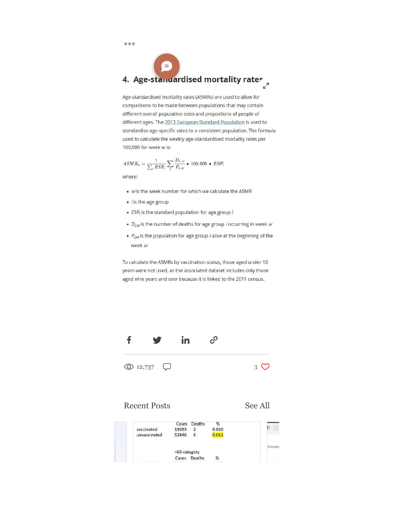## $\equiv$ 4. Age-stanuardised mortality rates

Age-standardised mortality rates (ASMRs) are used to allow for comparisons to be made between populations that may contain different overall population sizes and proportions of people of different ages. The 2013 European Standard Population is used to standardise age-specific rates to a consistent population. The formula used to calculate the weekly age-standardised mortality rates per 100,000 for week w is:

$$
ASMR_w = \frac{1}{\sum_i ESP_i} \sum_i \frac{D_{i,\,w}}{P_{i,\,w}} \bullet \ 100,000 \ \bullet \ ESP_i
$$

where:

- . wis the week number for which we calculate the ASMR
- *i* is the age group
- ESP<sub>i</sub> is the standard population for age group *i*
- $D_{i,w}$  is the number of deaths for age group *i* occurring in week w
- $P_{i,w}$  is the population for age group *i* alive at the beginning of the week w

To calculate the ASMRs by vaccination status, those aged under 10 years were not used, as the associated dataset includes only those aged nine years and over because it is linked to the 2011 census.



Recent Posts See All

|                                      | Deaths<br>Cases | %     |  |
|--------------------------------------|-----------------|-------|--|
| vaccinated                           | 19693           | 0.010 |  |
| unvaccinated                         | 52846<br>6      | 0.011 |  |
|                                      |                 |       |  |
|                                      | >50 category    |       |  |
| <b>ALCOHOL: ALCOHOL: ALCOHOL: 18</b> | Deaths<br>Cases | %     |  |

\*\*\*